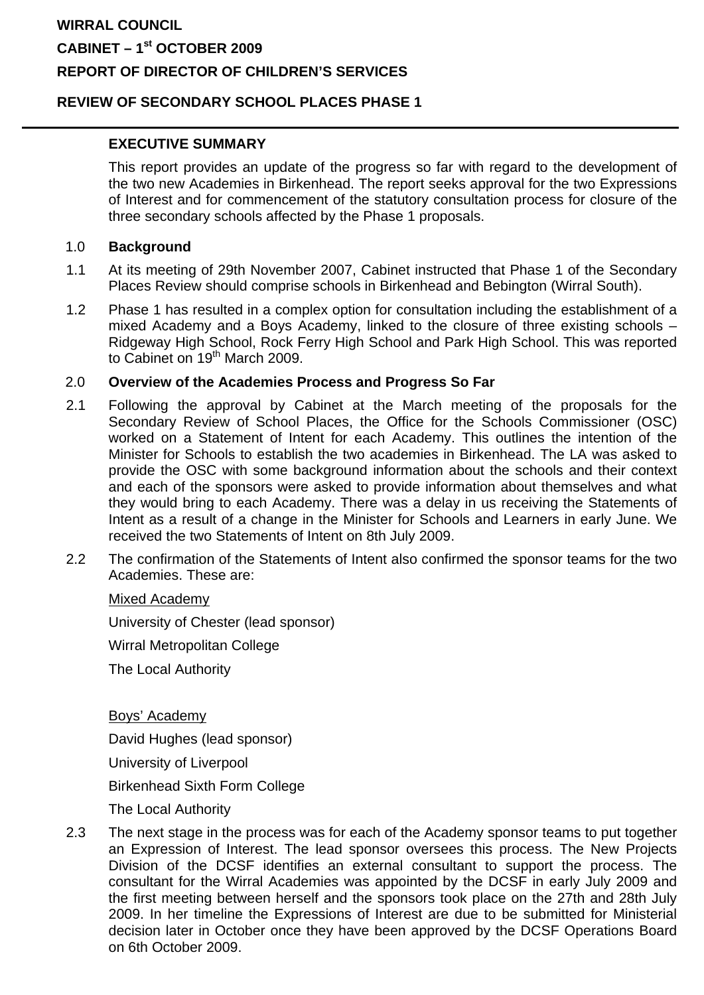# **WIRRAL COUNCIL CABINET – 1st OCTOBER 2009 REPORT OF DIRECTOR OF CHILDREN'S SERVICES**

### **REVIEW OF SECONDARY SCHOOL PLACES PHASE 1**

### **EXECUTIVE SUMMARY**

This report provides an update of the progress so far with regard to the development of the two new Academies in Birkenhead. The report seeks approval for the two Expressions of Interest and for commencement of the statutory consultation process for closure of the three secondary schools affected by the Phase 1 proposals.

### 1.0 **Background**

- 1.1 At its meeting of 29th November 2007, Cabinet instructed that Phase 1 of the Secondary Places Review should comprise schools in Birkenhead and Bebington (Wirral South).
- 1.2 Phase 1 has resulted in a complex option for consultation including the establishment of a mixed Academy and a Boys Academy, linked to the closure of three existing schools – Ridgeway High School, Rock Ferry High School and Park High School. This was reported to Cabinet on 19<sup>th</sup> March 2009.

### 2.0 **Overview of the Academies Process and Progress So Far**

- 2.1 Following the approval by Cabinet at the March meeting of the proposals for the Secondary Review of School Places, the Office for the Schools Commissioner (OSC) worked on a Statement of Intent for each Academy. This outlines the intention of the Minister for Schools to establish the two academies in Birkenhead. The LA was asked to provide the OSC with some background information about the schools and their context and each of the sponsors were asked to provide information about themselves and what they would bring to each Academy. There was a delay in us receiving the Statements of Intent as a result of a change in the Minister for Schools and Learners in early June. We received the two Statements of Intent on 8th July 2009.
- 2.2 The confirmation of the Statements of Intent also confirmed the sponsor teams for the two Academies. These are:

#### Mixed Academy

University of Chester (lead sponsor)

Wirral Metropolitan College

The Local Authority

Boys' Academy

David Hughes (lead sponsor)

University of Liverpool

Birkenhead Sixth Form College

The Local Authority

2.3 The next stage in the process was for each of the Academy sponsor teams to put together an Expression of Interest. The lead sponsor oversees this process. The New Projects Division of the DCSF identifies an external consultant to support the process. The consultant for the Wirral Academies was appointed by the DCSF in early July 2009 and the first meeting between herself and the sponsors took place on the 27th and 28th July 2009. In her timeline the Expressions of Interest are due to be submitted for Ministerial decision later in October once they have been approved by the DCSF Operations Board on 6th October 2009.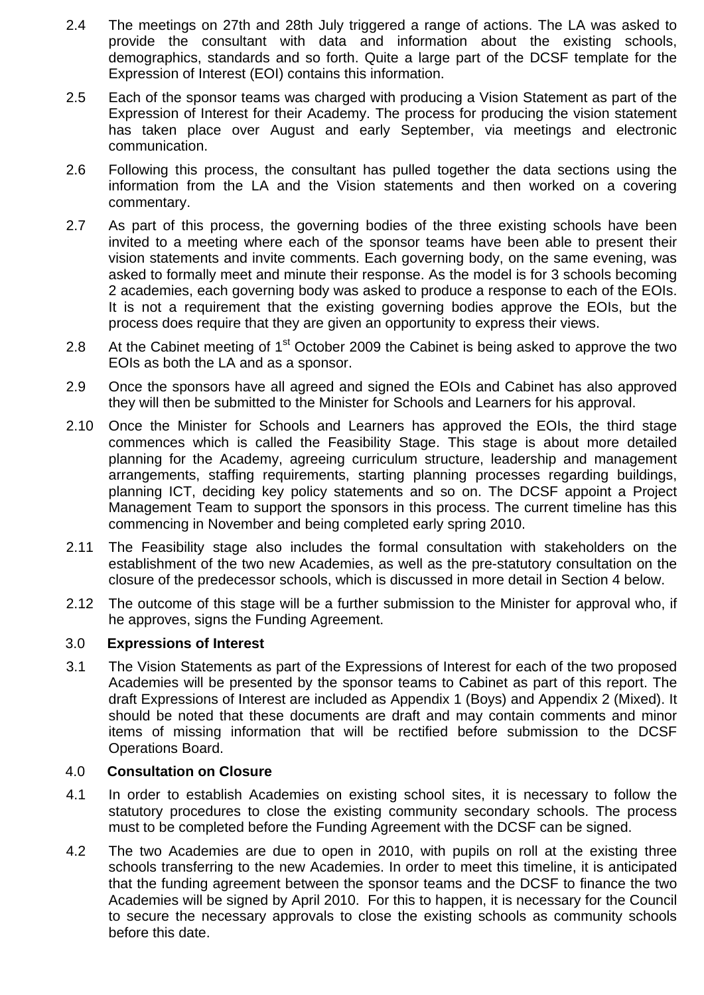- 2.4 The meetings on 27th and 28th July triggered a range of actions. The LA was asked to provide the consultant with data and information about the existing schools, demographics, standards and so forth. Quite a large part of the DCSF template for the Expression of Interest (EOI) contains this information.
- 2.5 Each of the sponsor teams was charged with producing a Vision Statement as part of the Expression of Interest for their Academy. The process for producing the vision statement has taken place over August and early September, via meetings and electronic communication.
- 2.6 Following this process, the consultant has pulled together the data sections using the information from the LA and the Vision statements and then worked on a covering commentary.
- 2.7 As part of this process, the governing bodies of the three existing schools have been invited to a meeting where each of the sponsor teams have been able to present their vision statements and invite comments. Each governing body, on the same evening, was asked to formally meet and minute their response. As the model is for 3 schools becoming 2 academies, each governing body was asked to produce a response to each of the EOIs. It is not a requirement that the existing governing bodies approve the EOIs, but the process does require that they are given an opportunity to express their views.
- 2.8 At the Cabinet meeting of  $1<sup>st</sup>$  October 2009 the Cabinet is being asked to approve the two EOIs as both the LA and as a sponsor.
- 2.9 Once the sponsors have all agreed and signed the EOIs and Cabinet has also approved they will then be submitted to the Minister for Schools and Learners for his approval.
- 2.10 Once the Minister for Schools and Learners has approved the EOIs, the third stage commences which is called the Feasibility Stage. This stage is about more detailed planning for the Academy, agreeing curriculum structure, leadership and management arrangements, staffing requirements, starting planning processes regarding buildings, planning ICT, deciding key policy statements and so on. The DCSF appoint a Project Management Team to support the sponsors in this process. The current timeline has this commencing in November and being completed early spring 2010.
- 2.11 The Feasibility stage also includes the formal consultation with stakeholders on the establishment of the two new Academies, as well as the pre-statutory consultation on the closure of the predecessor schools, which is discussed in more detail in Section 4 below.
- 2.12 The outcome of this stage will be a further submission to the Minister for approval who, if he approves, signs the Funding Agreement.

### 3.0 **Expressions of Interest**

3.1 The Vision Statements as part of the Expressions of Interest for each of the two proposed Academies will be presented by the sponsor teams to Cabinet as part of this report. The draft Expressions of Interest are included as Appendix 1 (Boys) and Appendix 2 (Mixed). It should be noted that these documents are draft and may contain comments and minor items of missing information that will be rectified before submission to the DCSF Operations Board.

### 4.0 **Consultation on Closure**

- 4.1 In order to establish Academies on existing school sites, it is necessary to follow the statutory procedures to close the existing community secondary schools. The process must to be completed before the Funding Agreement with the DCSF can be signed.
- 4.2 The two Academies are due to open in 2010, with pupils on roll at the existing three schools transferring to the new Academies. In order to meet this timeline, it is anticipated that the funding agreement between the sponsor teams and the DCSF to finance the two Academies will be signed by April 2010. For this to happen, it is necessary for the Council to secure the necessary approvals to close the existing schools as community schools before this date.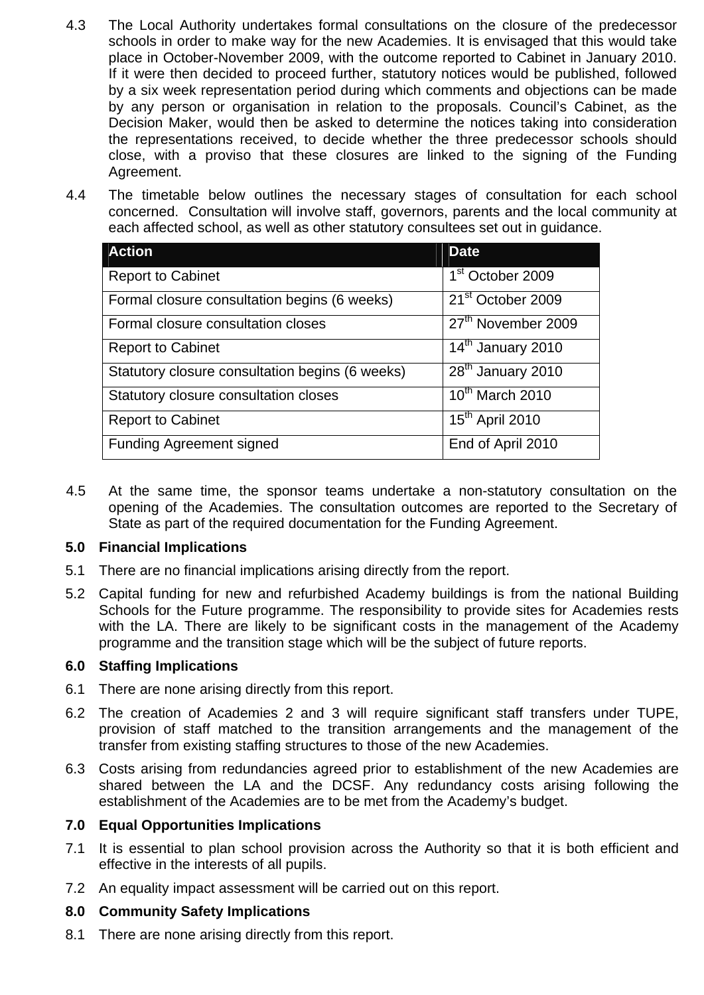- 4.3 The Local Authority undertakes formal consultations on the closure of the predecessor schools in order to make way for the new Academies. It is envisaged that this would take place in October-November 2009, with the outcome reported to Cabinet in January 2010. If it were then decided to proceed further, statutory notices would be published, followed by a six week representation period during which comments and objections can be made by any person or organisation in relation to the proposals. Council's Cabinet, as the Decision Maker, would then be asked to determine the notices taking into consideration the representations received, to decide whether the three predecessor schools should close, with a proviso that these closures are linked to the signing of the Funding Agreement.
- 4.4 The timetable below outlines the necessary stages of consultation for each school concerned. Consultation will involve staff, governors, parents and the local community at each affected school, as well as other statutory consultees set out in guidance.

| <b>Action</b>                                   | <b>Date</b>                     |
|-------------------------------------------------|---------------------------------|
| <b>Report to Cabinet</b>                        | 1 <sup>st</sup> October 2009    |
| Formal closure consultation begins (6 weeks)    | 21 <sup>st</sup> October 2009   |
| Formal closure consultation closes              | 27 <sup>th</sup> November 2009  |
| <b>Report to Cabinet</b>                        | 14 <sup>th</sup> January 2010   |
| Statutory closure consultation begins (6 weeks) | 28 <sup>th</sup> January 2010   |
| Statutory closure consultation closes           | $\overline{10^{th}}$ March 2010 |
| <b>Report to Cabinet</b>                        | 15 <sup>th</sup> April 2010     |
| <b>Funding Agreement signed</b>                 | End of April 2010               |

4.5 At the same time, the sponsor teams undertake a non-statutory consultation on the opening of the Academies. The consultation outcomes are reported to the Secretary of State as part of the required documentation for the Funding Agreement.

### **5.0 Financial Implications**

- 5.1 There are no financial implications arising directly from the report.
- 5.2 Capital funding for new and refurbished Academy buildings is from the national Building Schools for the Future programme. The responsibility to provide sites for Academies rests with the LA. There are likely to be significant costs in the management of the Academy programme and the transition stage which will be the subject of future reports.

#### **6.0 Staffing Implications**

- 6.1 There are none arising directly from this report.
- 6.2 The creation of Academies 2 and 3 will require significant staff transfers under TUPE, provision of staff matched to the transition arrangements and the management of the transfer from existing staffing structures to those of the new Academies.
- 6.3 Costs arising from redundancies agreed prior to establishment of the new Academies are shared between the LA and the DCSF. Any redundancy costs arising following the establishment of the Academies are to be met from the Academy's budget.

### **7.0 Equal Opportunities Implications**

- 7.1 It is essential to plan school provision across the Authority so that it is both efficient and effective in the interests of all pupils.
- 7.2 An equality impact assessment will be carried out on this report.

#### **8.0 Community Safety Implications**

8.1 There are none arising directly from this report.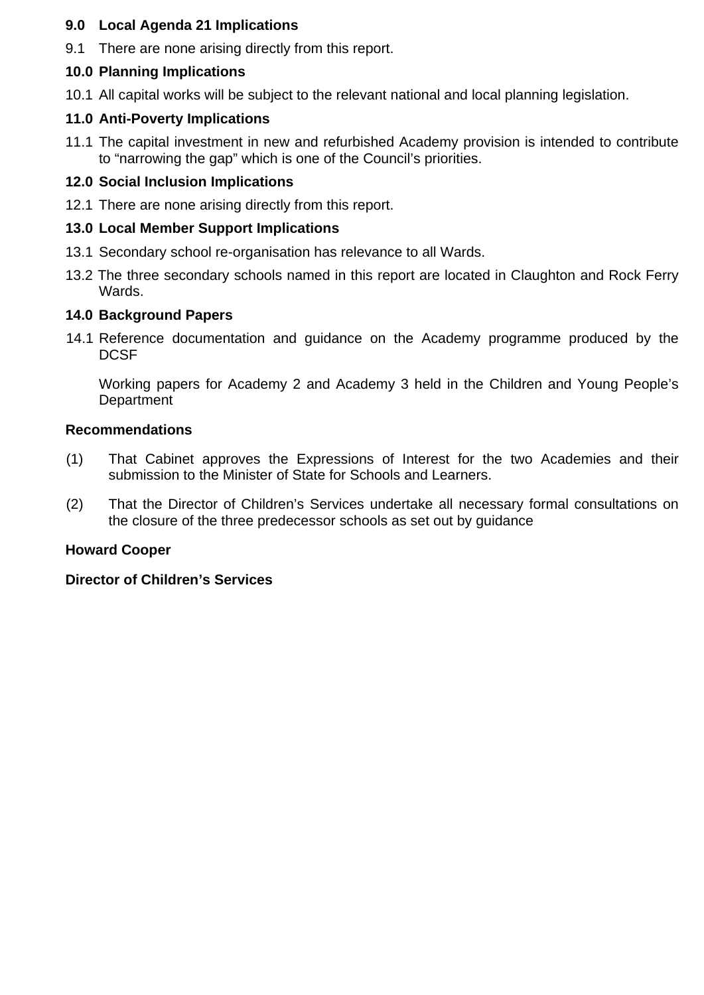### **9.0 Local Agenda 21 Implications**

9.1 There are none arising directly from this report.

# **10.0 Planning Implications**

10.1 All capital works will be subject to the relevant national and local planning legislation.

# **11.0 Anti-Poverty Implications**

11.1 The capital investment in new and refurbished Academy provision is intended to contribute to "narrowing the gap" which is one of the Council's priorities.

# **12.0 Social Inclusion Implications**

12.1 There are none arising directly from this report.

# **13.0 Local Member Support Implications**

- 13.1 Secondary school re-organisation has relevance to all Wards.
- 13.2 The three secondary schools named in this report are located in Claughton and Rock Ferry Wards.

# **14.0 Background Papers**

14.1 Reference documentation and guidance on the Academy programme produced by the **DCSF** 

Working papers for Academy 2 and Academy 3 held in the Children and Young People's **Department** 

## **Recommendations**

- (1) That Cabinet approves the Expressions of Interest for the two Academies and their submission to the Minister of State for Schools and Learners.
- (2) That the Director of Children's Services undertake all necessary formal consultations on the closure of the three predecessor schools as set out by guidance

## **Howard Cooper**

## **Director of Children's Services**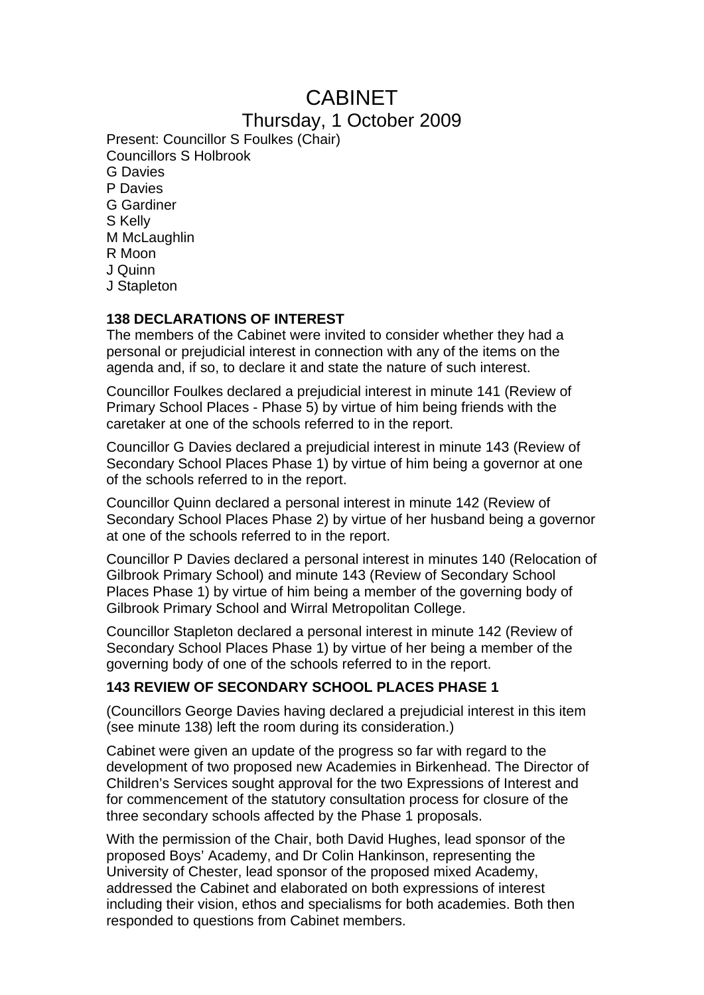# CABINET

# Thursday, 1 October 2009

Present: Councillor S Foulkes (Chair) Councillors S Holbrook G Davies P Davies G Gardiner S Kelly M McLaughlin R Moon J Quinn J Stapleton

### **138 DECLARATIONS OF INTEREST**

The members of the Cabinet were invited to consider whether they had a personal or prejudicial interest in connection with any of the items on the agenda and, if so, to declare it and state the nature of such interest.

Councillor Foulkes declared a prejudicial interest in minute 141 (Review of Primary School Places - Phase 5) by virtue of him being friends with the caretaker at one of the schools referred to in the report.

Councillor G Davies declared a prejudicial interest in minute 143 (Review of Secondary School Places Phase 1) by virtue of him being a governor at one of the schools referred to in the report.

Councillor Quinn declared a personal interest in minute 142 (Review of Secondary School Places Phase 2) by virtue of her husband being a governor at one of the schools referred to in the report.

Councillor P Davies declared a personal interest in minutes 140 (Relocation of Gilbrook Primary School) and minute 143 (Review of Secondary School Places Phase 1) by virtue of him being a member of the governing body of Gilbrook Primary School and Wirral Metropolitan College.

Councillor Stapleton declared a personal interest in minute 142 (Review of Secondary School Places Phase 1) by virtue of her being a member of the governing body of one of the schools referred to in the report.

## **143 REVIEW OF SECONDARY SCHOOL PLACES PHASE 1**

(Councillors George Davies having declared a prejudicial interest in this item (see minute 138) left the room during its consideration.)

Cabinet were given an update of the progress so far with regard to the development of two proposed new Academies in Birkenhead. The Director of Children's Services sought approval for the two Expressions of Interest and for commencement of the statutory consultation process for closure of the three secondary schools affected by the Phase 1 proposals.

With the permission of the Chair, both David Hughes, lead sponsor of the proposed Boys' Academy, and Dr Colin Hankinson, representing the University of Chester, lead sponsor of the proposed mixed Academy, addressed the Cabinet and elaborated on both expressions of interest including their vision, ethos and specialisms for both academies. Both then responded to questions from Cabinet members.